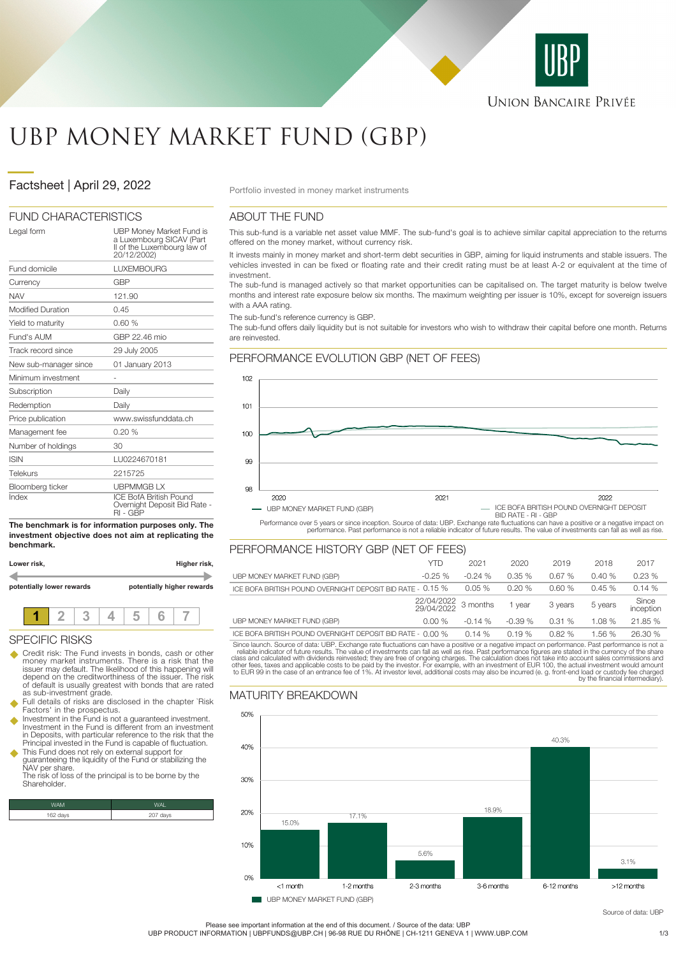

# UBP MONEY MARKET FUND (GBP)

# Pactsheet | April 29, 2022

### FUND CHARACTERISTICS

| Legal form               | UBP Money Market Fund is<br>a Luxembourg SICAV (Part<br>II of the Luxembourg law of<br>20/12/2002) |
|--------------------------|----------------------------------------------------------------------------------------------------|
| Fund domicile            | <b>LUXEMBOURG</b>                                                                                  |
| Currency                 | <b>GBP</b>                                                                                         |
| <b>NAV</b>               | 121.90                                                                                             |
| <b>Modified Duration</b> | 0.45                                                                                               |
| Yield to maturity        | 0.60%                                                                                              |
| Fund's AUM               | GBP 22.46 mio                                                                                      |
| Track record since       | 29 July 2005                                                                                       |
| New sub-manager since    | 01 January 2013                                                                                    |
| Minimum investment       |                                                                                                    |
| Subscription             | Daily                                                                                              |
| Redemption               | Daily                                                                                              |
| Price publication        | www.swissfunddata.ch                                                                               |
| Management fee           | 0.20%                                                                                              |
| Number of holdings       | 30                                                                                                 |
| <b>ISIN</b>              | LU0224670181                                                                                       |
| Telekurs                 | 2215725                                                                                            |
| Bloomberg ticker         | <b>UBPMMGBLX</b>                                                                                   |
| Index                    | <b>ICE BofA British Pound</b><br>Overnight Deposit Bid Rate -<br>RI - GBP                          |

**The benchmark is for information purposes only. The investment objective does not aim at replicating the benchmark.**

**Lower risk, Higher risk, potentially lower rewards potentially higher rewards 1 2 3 4 5 6 7**

#### SPECIFIC RISKS

- Credit risk: The Fund invests in bonds, cash or other money market instruments. There is a risk that the issuer may default. The likelihood of this happening will depend on the creditworthiness of the issuer. The risk of default is usually greatest with bonds that are rated as sub-investment grade.
- Full details of risks are disclosed in the chapter `Risk Factors' in the prospectus.
- u Investment in the Fund is not a guaranteed investment. Investment in the Fund is different from an investment in Deposits, with particular reference to the risk that the Principal invested in the Fund is capable of fluctuation.
- u This Fund does not rely on external support for guaranteeing the liquidity of the Fund or stabilizing the NAV per share. The risk of loss of the principal is to be borne by the

**Shareholder** 

| WAM      |             |
|----------|-------------|
| 162 days | days<br>207 |

### ABOUT THE FUND

This sub-fund is a variable net asset value MMF. The sub-fund's goal is to achieve similar capital appreciation to the returns offered on the money market, without currency risk.

It invests mainly in money market and short-term debt securities in GBP, aiming for liquid instruments and stable issuers. The vehicles invested in can be fixed or floating rate and their credit rating must be at least A-2 or equivalent at the time of investment.

The sub-fund is managed actively so that market opportunities can be capitalised on. The target maturity is below twelve months and interest rate exposure below six months. The maximum weighting per issuer is 10%, except for sovereign issuers with a AAA rating

The sub-fund's reference currency is GBP.

The sub-fund offers daily liquidity but is not suitable for investors who wish to withdraw their capital before one month. Returns are reinvested.



Performance over 5 years or since inception. Source of data: UBP. Exchange rate fluctuations can have a positive or a negative impact on<br>performance. Past performance is not a reliable indicator of future results. The valu

|                                                            | YTD                 | 2021     | 2020     | 2019    | 2018    | 2017               |
|------------------------------------------------------------|---------------------|----------|----------|---------|---------|--------------------|
| UBP MONEY MARKET FUND (GBP)                                | $-0.25%$            | $-0.24%$ | 0.35%    | 0.67%   | 0.40%   | 0.23%              |
| ICE BOFA BRITISH POUND OVERNIGHT DEPOSIT BID RATE - 0.15 % |                     | $0.05\%$ | 0.20%    | 0.60%   | 0.45%   | 0.14%              |
|                                                            | 22/04/2022 3 months |          | 1 vear   | 3 years | 5 years | Since<br>inception |
| UBP MONEY MARKET FUND (GBP)                                | 0.00%               | $-0.14%$ | $-0.39%$ | 0.31%   | 1.08%   | 21.85 %            |
| ICE BOFA BRITISH POUND OVERNIGHT DEPOSIT BID RATE - 0.00 % |                     | 0.14%    | 0.19%    | 0.82%   | 1.56%   | 26.30 %            |

Since launch. Source of data: UBP. Exchange rate fluctuations can have a positive or a negative impact on performance. Past performance is not a reliable indicator of future results. The value of investments can fall as we

## MATURITY BREAKDOWN



**UBP MONEY MARKET FUND (GBP)** 

Source of data: UBP

Please see important information at the end of this document. / Source of the data: UBP

UBP PRODUCT INFORMATION | UBPFUNDS@UBP.CH | 96-98 RUE DU RHÔNE | CH-1211 GENEVA 1 | WWW.UBP.COM 1/3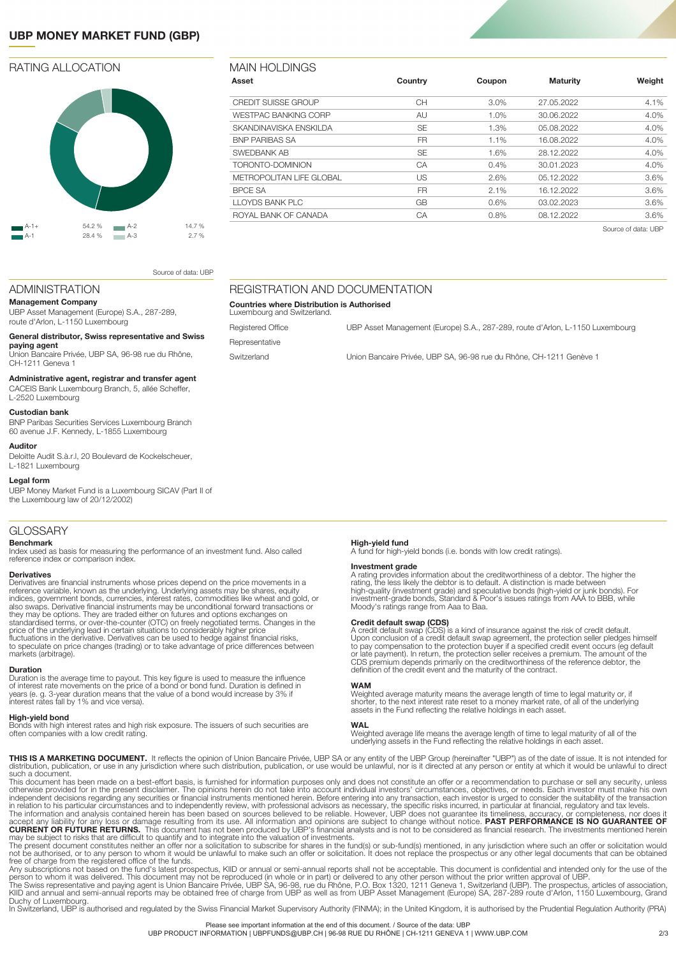# **UBP MONEY MARKET FUND (GBP)**

### RATING ALLOCATION



| VIAIN HOLDINGS              |           |        |                 |                     |
|-----------------------------|-----------|--------|-----------------|---------------------|
| Asset                       | Country   | Coupon | <b>Maturity</b> | Weight              |
| CREDIT SUISSE GROUP         | CН        | 3.0%   | 27.05.2022      | 4.1%                |
| <b>WESTPAC BANKING CORP</b> | AU        | 1.0%   | 30.06.2022      | 4.0%                |
| SKANDINAVISKA ENSKILDA      | <b>SE</b> | 1.3%   | 05.08.2022      | 4.0%                |
| <b>BNP PARIBAS SA</b>       | <b>FR</b> | 1.1%   | 16.08.2022      | 4.0%                |
| SWEDBANK AB                 | <b>SE</b> | 1.6%   | 28.12.2022      | 4.0%                |
| TORONTO-DOMINION            | CA        | 0.4%   | 30.01.2023      | 4.0%                |
| METROPOLITAN LIFE GLOBAL    | US        | 2.6%   | 05.12.2022      | 3.6%                |
| <b>BPCE SA</b>              | <b>FR</b> | 2.1%   | 16.12.2022      | 3.6%                |
| LLOYDS BANK PLC             | GB        | 0.6%   | 03.02.2023      | 3.6%                |
| ROYAL BANK OF CANADA        | CA        | 0.8%   | 08.12.2022      | 3.6%                |
|                             |           |        |                 | Source of data: UBP |

Registered Office **CHACCE COFFICED UBB** Asset Management (Europe) S.A., 287-289, route d'Arlon, L-1150 Luxembourg

Switzerland Union Bancaire Privée, UBP SA, 96-98 rue du Rhône, CH-1211 Genève 1

Source of data: UBP

# ADMINISTRATION

**Management Company** UBP Asset Management (Europe) S.A., 287-289, route d'Arlon, L-1150 Luxembourg

#### **General distributor, Swiss representative and Swiss**

**paying agent** Union Bancaire Privée, UBP SA, 96-98 rue du Rhône, CH-1211 Geneva 1

#### **Administrative agent, registrar and transfer agent**

CACEIS Bank Luxembourg Branch, 5, allée Scheffer,

#### L-2520 Luxembourg **Custodian bank**

BNP Paribas Securities Services Luxembourg Branch 60 avenue J.F. Kennedy, L-1855 Luxembourg

#### **Auditor**

Deloitte Audit S.à.r.l, 20 Boulevard de Kockelscheuer, L-1821 Luxembourg

#### **Legal form**

UBP Money Market Fund is a Luxembourg SICAV (Part II of the Luxembourg law of 20/12/2002)

#### GLOSSARY

#### **Benchmark**

Index used as basis for measuring the performance of an investment fund. Also called reference index or comparison index.

#### **Derivatives**

Derivatives are financial instruments whose prices depend on the price movements in a<br>reference variable, known as the underlying. Underlying assets may be shares, equity<br>indices, government bonds, currencies, interest rat also swaps. Derivative financial instruments may be unconditional forward transactions or<br>they may be options. They are traded either on futures and options exchanges on<br>standardised terms, or over-the-counter (OTC) on fre price of the underlying lead in certain situations to considerably higher price<br>fluctuations in the derivative. Derivatives can be used to hedge against financial risks,<br>to speculate on price changes (trading) or to take a markets (arbitrage).

#### **Duration**

Duration is the average time to payout. This key figure is used to measure the influence of interest rate movements on the price of a bond or bond fund. Duration is defined in 3-year duration means that the value of a bond would increase by 3% if interest rates fall by 1% and vice versa).

#### **High-yield bond**

Bonds with high interest rates and high risk exposure. The issuers of such securities are often companies with a low credit rating.

REGISTRATION AND DOCUMENTATION

**Countries where Distribution is Authorised**

Luxembourg and Switzerland.

Representative

**High-yield fund** A fund for high-yield bonds (i.e. bonds with low credit ratings).

**Investment grade**<br>A rating provides information about the creditworthiness of a debtor. The higher the<br>A rating, the less likely the debtor is to default. A distinction is made between<br>high-quality (investment grade) and

**Credit default swap (CDS)**<br>A reddit default swap (CDS) is a kind of insurance against the risk of credit default.<br>Upon conclusion of a credit default swap agreement, the protection seller pledges himself<br>to pay compensati

#### **WAM**

Weighted average maturity means the average length of time to legal maturity or, if shorter, to the next interest rate reset to a money market rate, of all of the underlying assets in the Fund reflecting the relative holdings in each asset.

#### **WAL**

Weighted average life means the average length of time to legal maturity of all of the underlying assets in the Fund reflecting the relative holdings in each asset.

**THIS IS A MARKETING DOCUMENT.** It reflects the opinion of Union Bancaire Privée, UBP SA or any entity of the UBP Group (hereinafter "UBP") as of the date of issue. It is not intended for<br>distribution, publication, or use

This document has been made on a best-effort basis, is furnished for information purposes only and does not constitute an offer or a recommendation to purchase or sell any security, unless<br>otherwise provided for in the pre

The present document constitutes neither an offer nor a solicitation to subscribe for shares in the fund(s) or sub-fund(s) mentioned, in any jurisdiction where such an offer or solicitation would<br>not be authorised, or to a Duchy of Luxembourg.<br>In Switzerland, UBP is authorised and regulated by the Swiss Financial Market Supervisory Authority (FINMA); in the United Kingdom, it is authorised by the Prudential Regulation Authority (PRA)

Please see important information at the end of this document. / Source of the data: UBP

UBP PRODUCT INFORMATION | UBPFUNDS@UBP.CH | 96-98 RUE DU RHÔNE | CH-1211 GENEVA 1 | WWW.UBP.COM 2/3